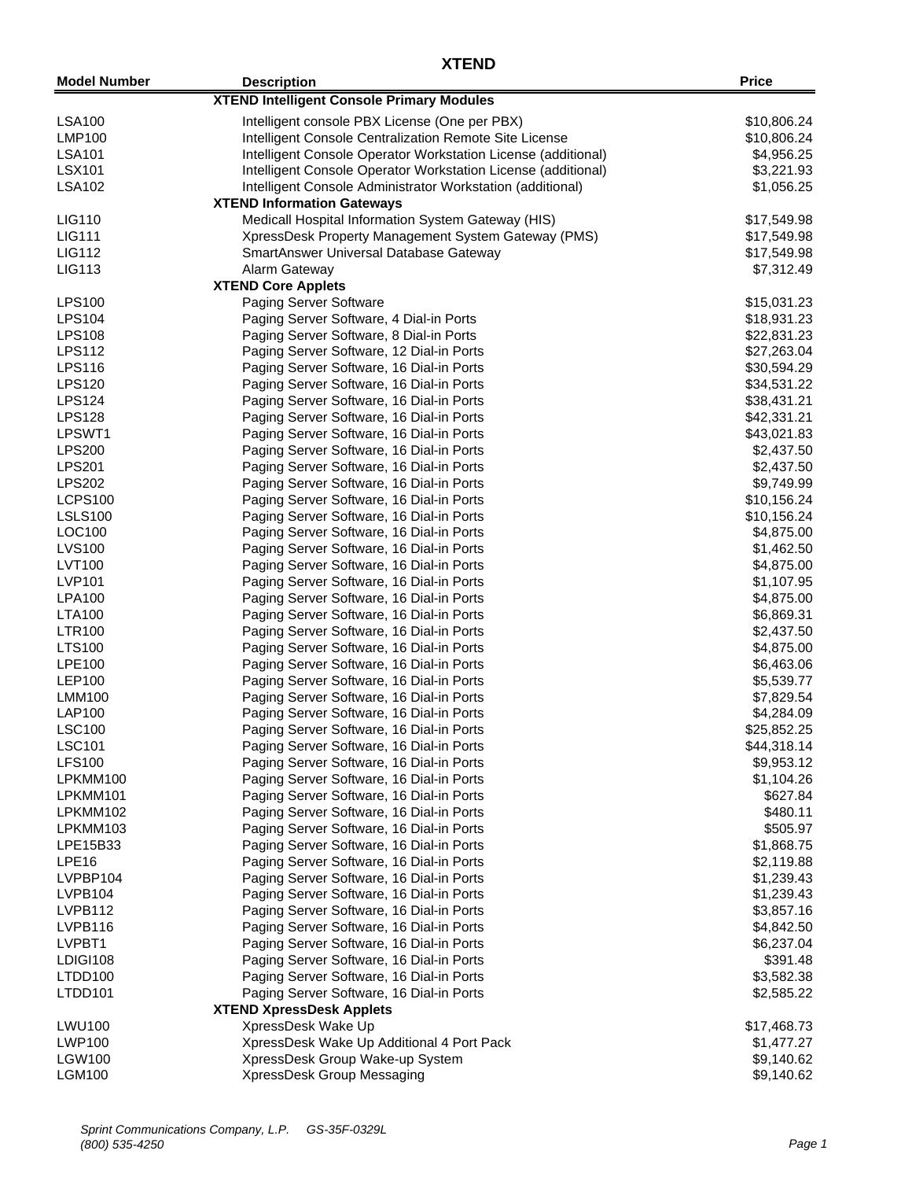| <b>Model Number</b>            | <b>Description</b>                                            | <b>Price</b>               |
|--------------------------------|---------------------------------------------------------------|----------------------------|
|                                | <b>XTEND Intelligent Console Primary Modules</b>              |                            |
| <b>LSA100</b>                  | Intelligent console PBX License (One per PBX)                 | \$10,806.24                |
| <b>LMP100</b>                  | Intelligent Console Centralization Remote Site License        | \$10,806.24                |
| <b>LSA101</b>                  | Intelligent Console Operator Workstation License (additional) | \$4,956.25                 |
| <b>LSX101</b>                  | Intelligent Console Operator Workstation License (additional) | \$3,221.93                 |
| <b>LSA102</b>                  | Intelligent Console Administrator Workstation (additional)    | \$1,056.25                 |
|                                | <b>XTEND Information Gateways</b>                             |                            |
| LIG110                         | Medicall Hospital Information System Gateway (HIS)            | \$17,549.98                |
| <b>LIG111</b>                  | XpressDesk Property Management System Gateway (PMS)           |                            |
| <b>LIG112</b>                  | SmartAnswer Universal Database Gateway                        | \$17,549.98<br>\$17,549.98 |
| LIG113                         | Alarm Gateway                                                 | \$7,312.49                 |
|                                | <b>XTEND Core Applets</b>                                     |                            |
| <b>LPS100</b>                  | <b>Paging Server Software</b>                                 | \$15,031.23                |
| <b>LPS104</b>                  | Paging Server Software, 4 Dial-in Ports                       |                            |
| <b>LPS108</b>                  |                                                               | \$18,931.23<br>\$22,831.23 |
|                                | Paging Server Software, 8 Dial-in Ports                       | \$27,263.04                |
| <b>LPS112</b><br><b>LPS116</b> | Paging Server Software, 12 Dial-in Ports                      | \$30,594.29                |
|                                | Paging Server Software, 16 Dial-in Ports                      |                            |
| <b>LPS120</b>                  | Paging Server Software, 16 Dial-in Ports                      | \$34,531.22                |
| <b>LPS124</b>                  | Paging Server Software, 16 Dial-in Ports                      | \$38,431.21                |
| <b>LPS128</b>                  | Paging Server Software, 16 Dial-in Ports                      | \$42,331.21                |
| LPSWT1                         | Paging Server Software, 16 Dial-in Ports                      | \$43,021.83                |
| <b>LPS200</b>                  | Paging Server Software, 16 Dial-in Ports                      | \$2,437.50                 |
| <b>LPS201</b>                  | Paging Server Software, 16 Dial-in Ports                      | \$2,437.50                 |
| <b>LPS202</b>                  | Paging Server Software, 16 Dial-in Ports                      | \$9,749.99                 |
| <b>LCPS100</b>                 | Paging Server Software, 16 Dial-in Ports                      | \$10,156.24                |
| <b>LSLS100</b>                 | Paging Server Software, 16 Dial-in Ports                      | \$10,156.24                |
| LOC100                         | Paging Server Software, 16 Dial-in Ports                      | \$4,875.00                 |
| <b>LVS100</b>                  | Paging Server Software, 16 Dial-in Ports                      | \$1,462.50                 |
| <b>LVT100</b>                  | Paging Server Software, 16 Dial-in Ports                      | \$4,875.00                 |
| LVP101                         | Paging Server Software, 16 Dial-in Ports                      | \$1,107.95                 |
| <b>LPA100</b>                  | Paging Server Software, 16 Dial-in Ports                      | \$4,875.00                 |
| <b>LTA100</b>                  | Paging Server Software, 16 Dial-in Ports                      | \$6,869.31                 |
| <b>LTR100</b>                  | Paging Server Software, 16 Dial-in Ports                      | \$2,437.50                 |
| <b>LTS100</b>                  | Paging Server Software, 16 Dial-in Ports                      | \$4,875.00                 |
| LPE100                         | Paging Server Software, 16 Dial-in Ports                      | \$6,463.06                 |
| <b>LEP100</b>                  | Paging Server Software, 16 Dial-in Ports                      | \$5,539.77                 |
| <b>LMM100</b>                  | Paging Server Software, 16 Dial-in Ports                      | \$7,829.54                 |
| LAP100                         | Paging Server Software, 16 Dial-in Ports                      | \$4,284.09                 |
| <b>LSC100</b>                  | Paging Server Software, 16 Dial-in Ports                      | \$25,852.25                |
| <b>LSC101</b>                  | Paging Server Software, 16 Dial-in Ports                      | \$44,318.14                |
| <b>LFS100</b>                  | Paging Server Software, 16 Dial-in Ports                      | \$9,953.12                 |
| LPKMM100                       | Paging Server Software, 16 Dial-in Ports                      | \$1,104.26                 |
| LPKMM101                       | Paging Server Software, 16 Dial-in Ports                      | \$627.84                   |
| LPKMM102                       | Paging Server Software, 16 Dial-in Ports                      | \$480.11                   |
| LPKMM103                       | Paging Server Software, 16 Dial-in Ports                      | \$505.97                   |
| LPE15B33                       | Paging Server Software, 16 Dial-in Ports                      | \$1,868.75                 |
| LPE <sub>16</sub>              | Paging Server Software, 16 Dial-in Ports                      | \$2,119.88                 |
| LVPBP104                       | Paging Server Software, 16 Dial-in Ports                      | \$1,239.43                 |
| LVPB104                        | Paging Server Software, 16 Dial-in Ports                      | \$1,239.43                 |
| LVPB112                        | Paging Server Software, 16 Dial-in Ports                      | \$3,857.16                 |
| LVPB116                        | Paging Server Software, 16 Dial-in Ports                      | \$4,842.50                 |
| LVPBT1                         | Paging Server Software, 16 Dial-in Ports                      | \$6,237.04                 |
| LDIGI108                       | Paging Server Software, 16 Dial-in Ports                      | \$391.48                   |
| LTDD100                        | Paging Server Software, 16 Dial-in Ports                      | \$3,582.38                 |
| LTDD101                        | Paging Server Software, 16 Dial-in Ports                      | \$2,585.22                 |
|                                | <b>XTEND XpressDesk Applets</b>                               |                            |
| <b>LWU100</b>                  | XpressDesk Wake Up                                            | \$17,468.73                |
| LWP100                         | XpressDesk Wake Up Additional 4 Port Pack                     | \$1,477.27                 |
| <b>LGW100</b>                  | XpressDesk Group Wake-up System                               | \$9,140.62                 |
| LGM100                         | XpressDesk Group Messaging                                    | \$9,140.62                 |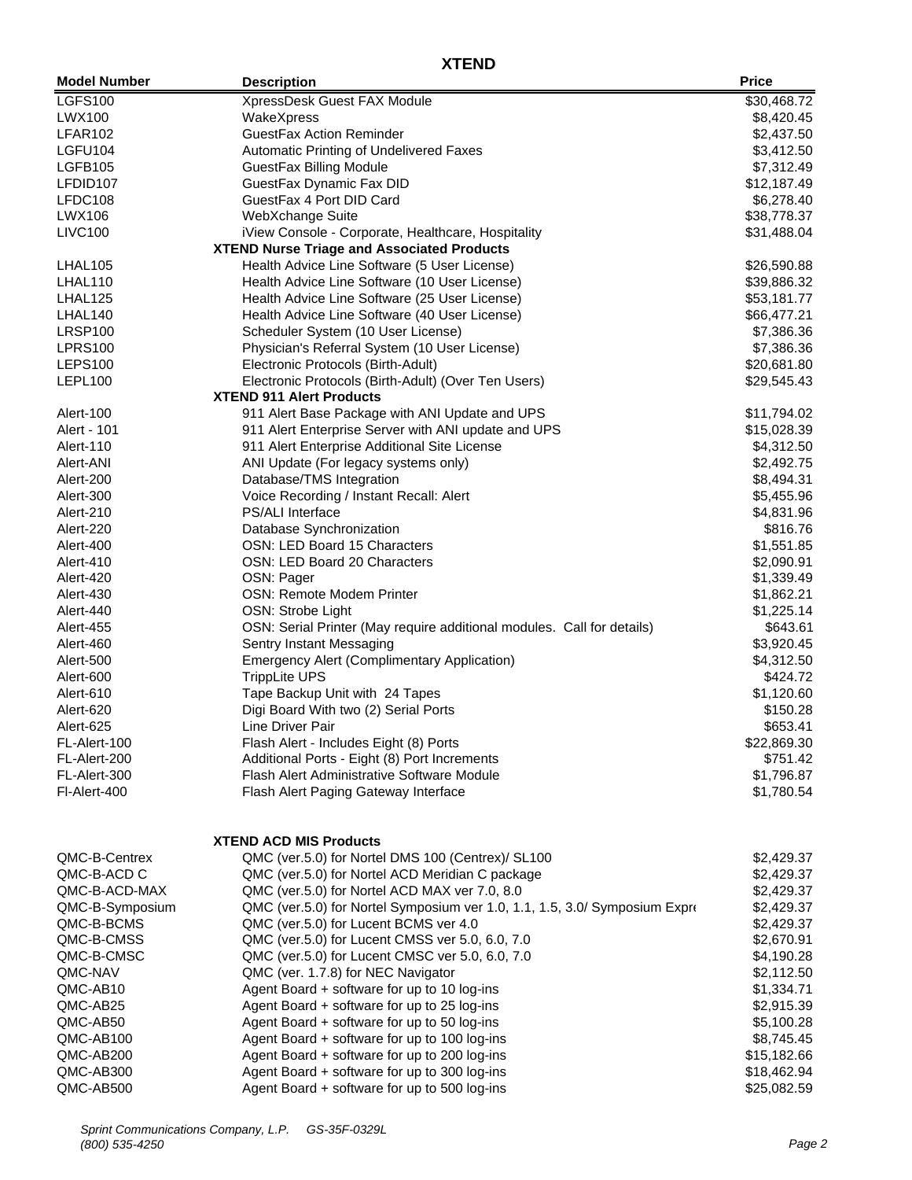| <b>Model Number</b> | <b>Description</b>                                                         | <b>Price</b> |
|---------------------|----------------------------------------------------------------------------|--------------|
| <b>LGFS100</b>      | XpressDesk Guest FAX Module                                                | \$30,468.72  |
| LWX100              | WakeXpress                                                                 | \$8,420.45   |
| LFAR102             | <b>GuestFax Action Reminder</b>                                            | \$2,437.50   |
| LGFU104             | Automatic Printing of Undelivered Faxes                                    | \$3,412.50   |
| LGFB105             | <b>GuestFax Billing Module</b>                                             | \$7,312.49   |
| LFDID107            | GuestFax Dynamic Fax DID                                                   | \$12,187.49  |
| LFDC108             | GuestFax 4 Port DID Card                                                   | \$6,278.40   |
| LWX106              | WebXchange Suite                                                           | \$38,778.37  |
| <b>LIVC100</b>      | iView Console - Corporate, Healthcare, Hospitality                         | \$31,488.04  |
|                     | <b>XTEND Nurse Triage and Associated Products</b>                          |              |
| LHAL105             | Health Advice Line Software (5 User License)                               | \$26,590.88  |
| LHAL110             | Health Advice Line Software (10 User License)                              | \$39,886.32  |
| LHAL125             | Health Advice Line Software (25 User License)                              | \$53,181.77  |
| LHAL140             | Health Advice Line Software (40 User License)                              | \$66,477.21  |
| LRSP100             | Scheduler System (10 User License)                                         | \$7,386.36   |
| <b>LPRS100</b>      | Physician's Referral System (10 User License)                              | \$7,386.36   |
| <b>LEPS100</b>      | Electronic Protocols (Birth-Adult)                                         | \$20,681.80  |
| LEPL100             | Electronic Protocols (Birth-Adult) (Over Ten Users)                        | \$29,545.43  |
|                     | <b>XTEND 911 Alert Products</b>                                            |              |
| Alert-100           | 911 Alert Base Package with ANI Update and UPS                             | \$11,794.02  |
| Alert - 101         | 911 Alert Enterprise Server with ANI update and UPS                        | \$15,028.39  |
| Alert-110           | 911 Alert Enterprise Additional Site License                               | \$4,312.50   |
| Alert-ANI           | ANI Update (For legacy systems only)                                       | \$2,492.75   |
| Alert-200           | Database/TMS Integration                                                   | \$8,494.31   |
| Alert-300           | Voice Recording / Instant Recall: Alert                                    | \$5,455.96   |
| Alert-210           | <b>PS/ALI Interface</b>                                                    | \$4,831.96   |
| Alert-220           | Database Synchronization                                                   | \$816.76     |
| Alert-400           | OSN: LED Board 15 Characters                                               | \$1,551.85   |
| Alert-410           | OSN: LED Board 20 Characters                                               | \$2,090.91   |
| Alert-420           | OSN: Pager                                                                 | \$1,339.49   |
| Alert-430           | OSN: Remote Modem Printer                                                  | \$1,862.21   |
| Alert-440           | OSN: Strobe Light                                                          | \$1,225.14   |
| Alert-455           | OSN: Serial Printer (May require additional modules. Call for details)     | \$643.61     |
| Alert-460           | Sentry Instant Messaging                                                   | \$3,920.45   |
| Alert-500           | <b>Emergency Alert (Complimentary Application)</b>                         | \$4,312.50   |
| Alert-600           | <b>TrippLite UPS</b>                                                       | \$424.72     |
| Alert-610           | Tape Backup Unit with 24 Tapes                                             | \$1,120.60   |
| Alert-620           | Digi Board With two (2) Serial Ports                                       | \$150.28     |
| Alert-625           | Line Driver Pair                                                           | \$653.41     |
| FL-Alert-100        | Flash Alert - Includes Eight (8) Ports                                     | \$22,869.30  |
| FL-Alert-200        | Additional Ports - Eight (8) Port Increments                               | \$751.42     |
| FL-Alert-300        | Flash Alert Administrative Software Module                                 | \$1,796.87   |
| FI-Alert-400        | Flash Alert Paging Gateway Interface                                       | \$1,780.54   |
|                     | <b>XTEND ACD MIS Products</b>                                              |              |
| QMC-B-Centrex       | QMC (ver.5.0) for Nortel DMS 100 (Centrex)/ SL100                          | \$2,429.37   |
| QMC-B-ACD C         | QMC (ver.5.0) for Nortel ACD Meridian C package                            | \$2,429.37   |
| QMC-B-ACD-MAX       | QMC (ver.5.0) for Nortel ACD MAX ver 7.0, 8.0                              | \$2,429.37   |
| QMC-B-Symposium     | QMC (ver.5.0) for Nortel Symposium ver 1.0, 1.1, 1.5, 3.0/ Symposium Expre | \$2,429.37   |
| QMC-B-BCMS          | QMC (ver.5.0) for Lucent BCMS ver 4.0                                      | \$2,429.37   |
| QMC-B-CMSS          | QMC (ver.5.0) for Lucent CMSS ver 5.0, 6.0, 7.0                            | \$2,670.91   |
| QMC-B-CMSC          | QMC (ver.5.0) for Lucent CMSC ver 5.0, 6.0, 7.0                            | \$4,190.28   |
| QMC-NAV             | QMC (ver. 1.7.8) for NEC Navigator                                         | \$2,112.50   |
| QMC-AB10            | Agent Board + software for up to 10 log-ins                                | \$1,334.71   |
| QMC-AB25            | Agent Board + software for up to 25 log-ins                                | \$2,915.39   |
| QMC-AB50            | Agent Board + software for up to 50 log-ins                                | \$5,100.28   |
| QMC-AB100           | Agent Board + software for up to 100 log-ins                               | \$8,745.45   |
| QMC-AB200           | Agent Board + software for up to 200 log-ins                               | \$15,182.66  |
| QMC-AB300           | Agent Board + software for up to 300 log-ins                               | \$18,462.94  |
| QMC-AB500           | Agent Board + software for up to 500 log-ins                               | \$25,082.59  |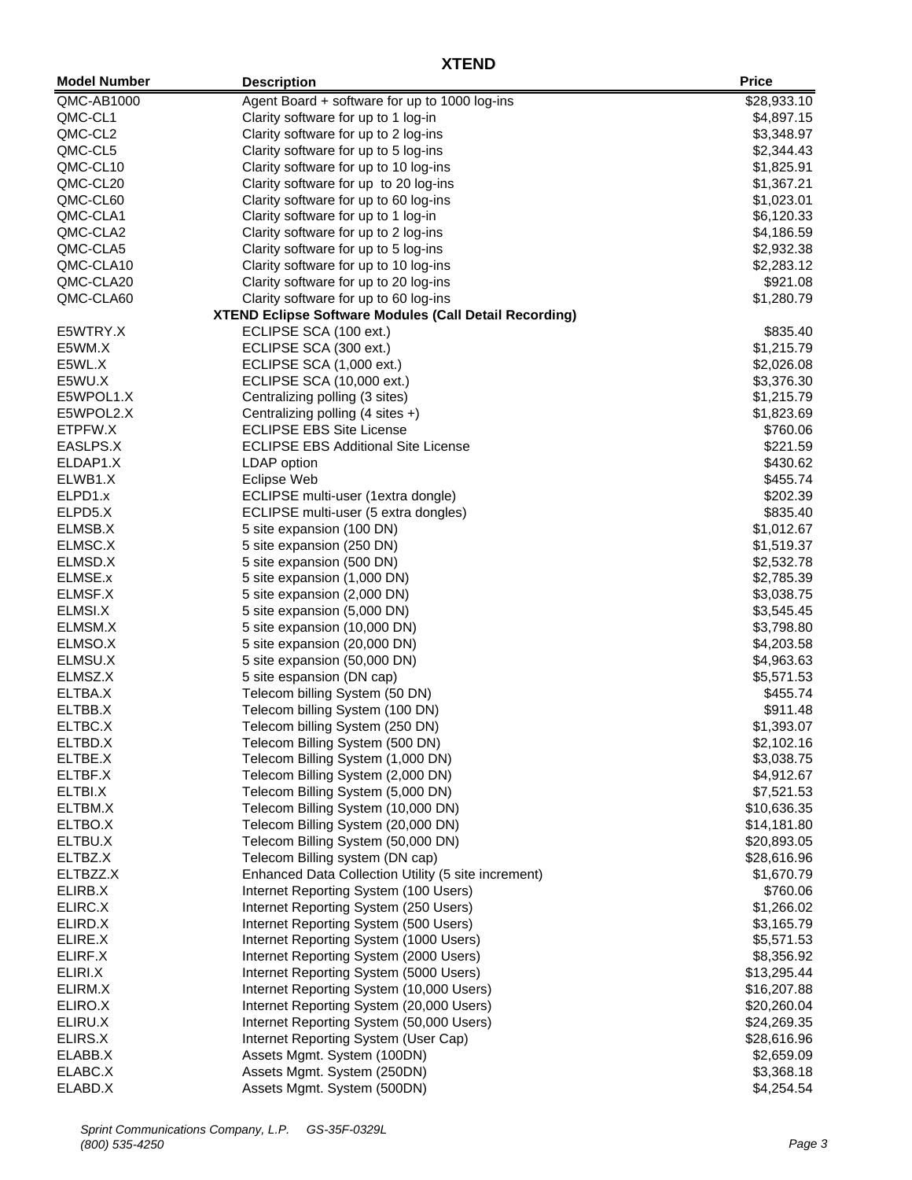| <b>Model Number</b> | <b>Description</b>                                                                 | <b>Price</b>               |
|---------------------|------------------------------------------------------------------------------------|----------------------------|
| QMC-AB1000          | Agent Board + software for up to 1000 log-ins                                      | \$28,933.10                |
| QMC-CL1             | Clarity software for up to 1 log-in                                                | \$4,897.15                 |
| QMC-CL2             | Clarity software for up to 2 log-ins                                               | \$3,348.97                 |
| QMC-CL5             | Clarity software for up to 5 log-ins                                               | \$2,344.43                 |
| QMC-CL10            | Clarity software for up to 10 log-ins                                              | \$1,825.91                 |
| QMC-CL20            | Clarity software for up to 20 log-ins                                              | \$1,367.21                 |
| QMC-CL60            | Clarity software for up to 60 log-ins                                              | \$1,023.01                 |
| QMC-CLA1            | Clarity software for up to 1 log-in                                                | \$6,120.33                 |
| QMC-CLA2            | Clarity software for up to 2 log-ins                                               | \$4,186.59                 |
| QMC-CLA5            | Clarity software for up to 5 log-ins                                               | \$2,932.38                 |
| QMC-CLA10           | Clarity software for up to 10 log-ins                                              | \$2,283.12                 |
| QMC-CLA20           | Clarity software for up to 20 log-ins                                              | \$921.08                   |
| QMC-CLA60           | Clarity software for up to 60 log-ins                                              | \$1,280.79                 |
|                     | <b>XTEND Eclipse Software Modules (Call Detail Recording)</b>                      |                            |
| E5WTRY.X            | ECLIPSE SCA (100 ext.)                                                             | \$835.40                   |
| E5WM.X              | ECLIPSE SCA (300 ext.)                                                             | \$1,215.79                 |
| E5WL.X              | ECLIPSE SCA (1,000 ext.)                                                           | \$2,026.08                 |
| E5WU.X              | ECLIPSE SCA (10,000 ext.)                                                          | \$3,376.30                 |
| E5WPOL1.X           | Centralizing polling (3 sites)                                                     | \$1,215.79                 |
| E5WPOL2.X           | Centralizing polling (4 sites +)                                                   | \$1,823.69                 |
| ETPFW.X             | <b>ECLIPSE EBS Site License</b>                                                    | \$760.06                   |
| EASLPS.X            | <b>ECLIPSE EBS Additional Site License</b>                                         | \$221.59                   |
| ELDAP1.X            | LDAP option                                                                        | \$430.62                   |
| ELWB1.X             | <b>Eclipse Web</b>                                                                 | \$455.74                   |
| ELPD1.x             | ECLIPSE multi-user (1extra dongle)                                                 | \$202.39                   |
| ELPD5.X             | ECLIPSE multi-user (5 extra dongles)                                               | \$835.40                   |
| ELMSB.X             | 5 site expansion (100 DN)                                                          | \$1,012.67                 |
| ELMSC.X             | 5 site expansion (250 DN)                                                          | \$1,519.37                 |
| ELMSD.X             | 5 site expansion (500 DN)                                                          | \$2,532.78                 |
| ELMSE.x             | 5 site expansion (1,000 DN)                                                        | \$2,785.39                 |
| ELMSF.X             | 5 site expansion (2,000 DN)                                                        | \$3,038.75                 |
| ELMSI.X             | 5 site expansion (5,000 DN)                                                        | \$3,545.45                 |
| ELMSM.X             | 5 site expansion (10,000 DN)                                                       | \$3,798.80                 |
| ELMSO.X             | 5 site expansion (20,000 DN)                                                       | \$4,203.58                 |
| ELMSU.X             | 5 site expansion (50,000 DN)                                                       | \$4,963.63                 |
| ELMSZ.X             | 5 site espansion (DN cap)                                                          | \$5,571.53                 |
| ELTBA.X             | Telecom billing System (50 DN)                                                     | \$455.74                   |
| ELTBB.X             | Telecom billing System (100 DN)                                                    | \$911.48                   |
| ELTBC.X             | Telecom billing System (250 DN)                                                    | \$1,393.07                 |
| ELTBD.X             | Telecom Billing System (500 DN)                                                    | \$2,102.16                 |
| ELTBE.X             | Telecom Billing System (1,000 DN)                                                  | \$3,038.75                 |
| ELTBF.X             | Telecom Billing System (2,000 DN)                                                  | \$4,912.67                 |
| ELTBI.X             | Telecom Billing System (5,000 DN)                                                  | \$7,521.53                 |
| ELTBM.X             | Telecom Billing System (10,000 DN)                                                 | \$10,636.35                |
| ELTBO.X             | Telecom Billing System (20,000 DN)                                                 | \$14,181.80                |
| ELTBU.X             | Telecom Billing System (50,000 DN)                                                 | \$20,893.05                |
| ELTBZ.X             | Telecom Billing system (DN cap)                                                    | \$28,616.96                |
| ELTBZZ.X            | Enhanced Data Collection Utility (5 site increment)                                | \$1,670.79                 |
| ELIRB.X             | Internet Reporting System (100 Users)                                              | \$760.06                   |
| ELIRC.X             | Internet Reporting System (250 Users)                                              | \$1,266.02                 |
| ELIRD.X             | Internet Reporting System (500 Users)                                              | \$3,165.79                 |
| ELIRE.X             | Internet Reporting System (1000 Users)                                             | \$5,571.53                 |
| ELIRF.X<br>ELIRI.X  | Internet Reporting System (2000 Users)                                             | \$8,356.92                 |
|                     | Internet Reporting System (5000 Users)<br>Internet Reporting System (10,000 Users) | \$13,295.44                |
| ELIRM.X<br>ELIRO.X  | Internet Reporting System (20,000 Users)                                           | \$16,207.88                |
| ELIRU.X             | Internet Reporting System (50,000 Users)                                           | \$20,260.04                |
| ELIRS.X             | Internet Reporting System (User Cap)                                               | \$24,269.35<br>\$28,616.96 |
| ELABB.X             | Assets Mgmt. System (100DN)                                                        | \$2,659.09                 |
| ELABC.X             | Assets Mgmt. System (250DN)                                                        | \$3,368.18                 |
| ELABD.X             | Assets Mgmt. System (500DN)                                                        | \$4,254.54                 |
|                     |                                                                                    |                            |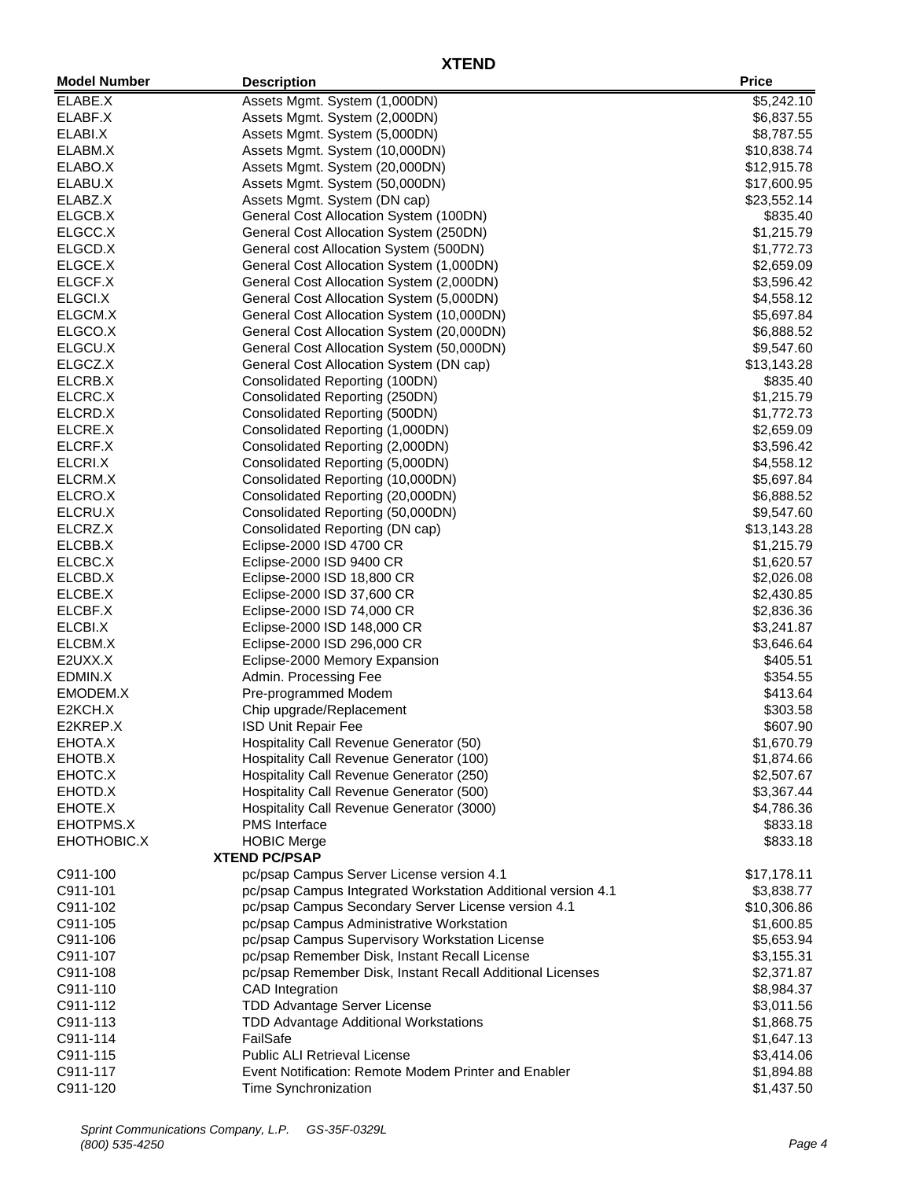| <b>Model Number</b>  | <b>Description</b>                                                | <b>Price</b>              |
|----------------------|-------------------------------------------------------------------|---------------------------|
| ELABE.X              | Assets Mgmt. System (1,000DN)                                     | \$5,242.10                |
| ELABF.X              | Assets Mgmt. System (2,000DN)                                     | \$6,837.55                |
| ELABI.X              | Assets Mgmt. System (5,000DN)                                     | \$8,787.55                |
| ELABM.X              | Assets Mgmt. System (10,000DN)                                    | \$10,838.74               |
| ELABO.X              | Assets Mgmt. System (20,000DN)                                    | \$12,915.78               |
| ELABU.X              | Assets Mgmt. System (50,000DN)                                    | \$17,600.95               |
| ELABZ.X              | Assets Mgmt. System (DN cap)                                      | \$23,552.14               |
| ELGCB.X              | General Cost Allocation System (100DN)                            | \$835.40                  |
| ELGCC.X              | General Cost Allocation System (250DN)                            | \$1,215.79                |
| ELGCD.X              | General cost Allocation System (500DN)                            | \$1,772.73                |
| ELGCE.X              | General Cost Allocation System (1,000DN)                          | \$2,659.09                |
| ELGCF.X              | General Cost Allocation System (2,000DN)                          | \$3,596.42                |
| ELGCI.X              | General Cost Allocation System (5,000DN)                          | \$4,558.12                |
| ELGCM.X              | General Cost Allocation System (10,000DN)                         | \$5,697.84                |
| ELGCO.X              | General Cost Allocation System (20,000DN)                         | \$6,888.52                |
| ELGCU.X              | General Cost Allocation System (50,000DN)                         | \$9,547.60                |
| ELGCZ.X              | General Cost Allocation System (DN cap)                           | \$13,143.28               |
| ELCRB.X              | Consolidated Reporting (100DN)                                    | \$835.40                  |
| ELCRC.X              | Consolidated Reporting (250DN)                                    | \$1,215.79                |
| ELCRD.X              | Consolidated Reporting (500DN)                                    | \$1,772.73                |
| ELCRE.X              | Consolidated Reporting (1,000DN)                                  | \$2,659.09                |
| ELCRF.X              | Consolidated Reporting (2,000DN)                                  | \$3,596.42                |
| ELCRI.X              | Consolidated Reporting (5,000DN)                                  | \$4,558.12                |
| ELCRM.X              | Consolidated Reporting (10,000DN)                                 | \$5,697.84                |
| ELCRO.X              | Consolidated Reporting (20,000DN)                                 | \$6,888.52                |
| ELCRU.X              | Consolidated Reporting (50,000DN)                                 | \$9,547.60                |
| ELCRZ.X              | Consolidated Reporting (DN cap)                                   | \$13,143.28               |
| ELCBB.X              | Eclipse-2000 ISD 4700 CR                                          | \$1,215.79                |
| ELCBC.X              | Eclipse-2000 ISD 9400 CR                                          | \$1,620.57                |
| ELCBD.X              | Eclipse-2000 ISD 18,800 CR                                        | \$2,026.08                |
| ELCBE.X              | Eclipse-2000 ISD 37,600 CR                                        | \$2,430.85                |
| ELCBF.X              | Eclipse-2000 ISD 74,000 CR                                        | \$2,836.36                |
| ELCBI.X              | Eclipse-2000 ISD 148,000 CR                                       | \$3,241.87                |
| ELCBM.X              | Eclipse-2000 ISD 296,000 CR                                       | \$3,646.64                |
| E2UXX.X              | Eclipse-2000 Memory Expansion                                     | \$405.51                  |
| EDMIN.X              | Admin. Processing Fee                                             | \$354.55                  |
| EMODEM.X             | Pre-programmed Modem                                              | \$413.64                  |
| E2KCH.X              | Chip upgrade/Replacement                                          | \$303.58                  |
| E2KREP.X             | <b>ISD Unit Repair Fee</b>                                        | \$607.90                  |
| EHOTA.X              | Hospitality Call Revenue Generator (50)                           | \$1,670.79                |
| EHOTB.X              | Hospitality Call Revenue Generator (100)                          | \$1,874.66                |
| EHOTC.X              | Hospitality Call Revenue Generator (250)                          | \$2,507.67                |
| EHOTD.X              | Hospitality Call Revenue Generator (500)                          | \$3,367.44                |
| EHOTE.X              | Hospitality Call Revenue Generator (3000)                         | \$4,786.36                |
| EHOTPMS.X            | <b>PMS</b> Interface                                              | \$833.18                  |
| EHOTHOBIC.X          | <b>HOBIC Merge</b>                                                | \$833.18                  |
|                      | <b>XTEND PC/PSAP</b><br>pc/psap Campus Server License version 4.1 |                           |
| C911-100<br>C911-101 | pc/psap Campus Integrated Workstation Additional version 4.1      | \$17,178.11<br>\$3,838.77 |
| C911-102             | pc/psap Campus Secondary Server License version 4.1               | \$10,306.86               |
| C911-105             | pc/psap Campus Administrative Workstation                         | \$1,600.85                |
| C911-106             | pc/psap Campus Supervisory Workstation License                    | \$5,653.94                |
| C911-107             | pc/psap Remember Disk, Instant Recall License                     | \$3,155.31                |
| C911-108             | pc/psap Remember Disk, Instant Recall Additional Licenses         | \$2,371.87                |
| C911-110             | <b>CAD</b> Integration                                            | \$8,984.37                |
| C911-112             | <b>TDD Advantage Server License</b>                               | \$3,011.56                |
| C911-113             | TDD Advantage Additional Workstations                             | \$1,868.75                |
| C911-114             | FailSafe                                                          | \$1,647.13                |
| C911-115             | <b>Public ALI Retrieval License</b>                               | \$3,414.06                |
| C911-117             | Event Notification: Remote Modem Printer and Enabler              | \$1,894.88                |
| C911-120             | Time Synchronization                                              | \$1,437.50                |